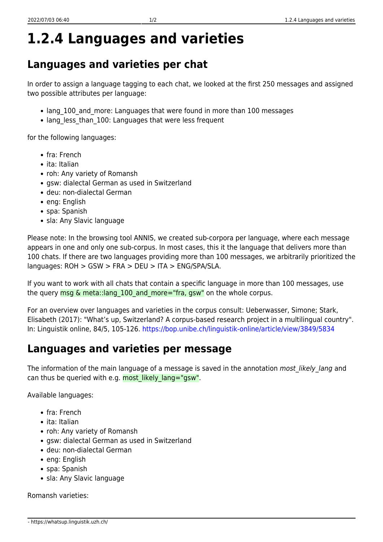## **1.2.4 Languages and varieties**

## **Languages and varieties per chat**

In order to assign a language tagging to each chat, we looked at the first 250 messages and assigned two possible attributes per language:

- lang 100 and more: Languages that were found in more than 100 messages
- lang less than 100: Languages that were less frequent

for the following languages:

- fra: French
- ita: Italian
- roh: Any variety of Romansh
- gsw: dialectal German as used in Switzerland
- deu: non-dialectal German
- eng: English
- spa: Spanish
- sla: Any Slavic language

Please note: In the browsing tool ANNIS, we created sub-corpora per language, where each message appears in one and only one sub-corpus. In most cases, this it the language that delivers more than 100 chats. If there are two languages providing more than 100 messages, we arbitrarily prioritized the languages: ROH > GSW > FRA > DEU > ITA > ENG/SPA/SLA.

If you want to work with all chats that contain a specific language in more than 100 messages, use the query  $msg \& \text{meta::lang } 100$  and  $more="ra, gsw"$  on the whole corpus.

For an overview over languages and varieties in the corpus consult: Ueberwasser, Simone; Stark, Elisabeth (2017): "What's up, Switzerland? A corpus-based research project in a multilingual country". In: Linguistik online, 84/5, 105-126.<https://bop.unibe.ch/linguistik-online/article/view/3849/5834>

## **Languages and varieties per message**

The information of the main language of a message is saved in the annotation most\_likely\_lang and can thus be queried with e.g. most likely lang="gsw".

Available languages:

- fra: French
- ita: Italian
- roh: Any variety of Romansh
- gsw: dialectal German as used in Switzerland
- deu: non-dialectal German
- eng: English
- spa: Spanish
- sla: Any Slavic language

Romansh varieties: